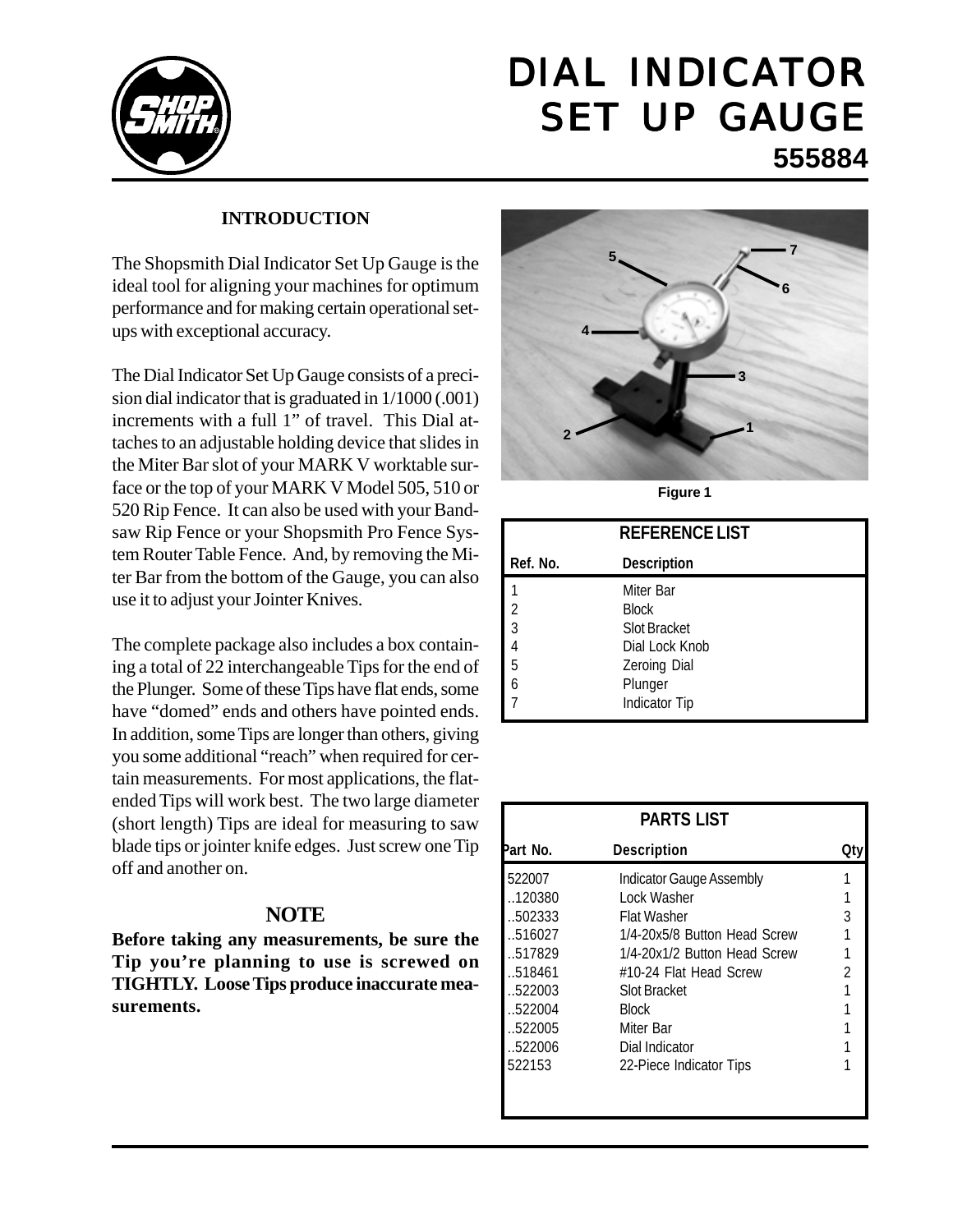

# DIAL INDICATOR SET UP GAUGE **555884**

#### **INTRODUCTION**

The Shopsmith Dial Indicator Set Up Gauge is the ideal tool for aligning your machines for optimum performance and for making certain operational setups with exceptional accuracy.

The Dial Indicator Set Up Gauge consists of a precision dial indicator that is graduated in 1/1000 (.001) increments with a full 1" of travel. This Dial attaches to an adjustable holding device that slides in the Miter Bar slot of your MARK V worktable surface or the top of your MARK V Model 505, 510 or 520 Rip Fence. It can also be used with your Bandsaw Rip Fence or your Shopsmith Pro Fence System Router Table Fence. And, by removing the Miter Bar from the bottom of the Gauge, you can also use it to adjust your Jointer Knives.

The complete package also includes a box containing a total of 22 interchangeable Tips for the end of the Plunger. Some of these Tips have flat ends, some have "domed" ends and others have pointed ends. In addition, some Tips are longer than others, giving you some additional "reach" when required for certain measurements. For most applications, the flatended Tips will work best. The two large diameter (short length) Tips are ideal for measuring to saw blade tips or jointer knife edges. Just screw one Tip off and another on.

#### **NOTE**

**Before taking any measurements, be sure the Tip you're planning to use is screwed on TIGHTLY. Loose Tips produce inaccurate measurements.**



**Figure 1**

|                                       | <b>REFERENCE LIST</b> |
|---------------------------------------|-----------------------|
| Ref. No.                              | <b>Description</b>    |
|                                       | Miter Bar             |
|                                       | <b>Block</b>          |
| $\begin{array}{c} 2 \\ 3 \end{array}$ | <b>Slot Bracket</b>   |
|                                       | Dial Lock Knob        |
| $\overline{5}$                        | Zeroing Dial          |
|                                       | Plunger               |
|                                       | Indicator Tip         |

| <b>PARTS LIST</b> |                                 |    |
|-------------------|---------------------------------|----|
| Part No.          | <b>Description</b>              | Qt |
| 522007            | <b>Indicator Gauge Assembly</b> |    |
| 120380            | Lock Washer                     |    |
| 502333            | Flat Washer                     | 3  |
| 516027            | 1/4-20x5/8 Button Head Screw    |    |
| .517829           | 1/4-20x1/2 Button Head Screw    |    |
| 518461            | #10-24 Flat Head Screw          | 2  |
| .522003           | Slot Bracket                    |    |
| .522004           | <b>Block</b>                    |    |
| 522005            | Miter Bar                       |    |
| 522006            | Dial Indicator                  |    |
| 522153            | 22-Piece Indicator Tips         |    |
|                   |                                 |    |
|                   |                                 |    |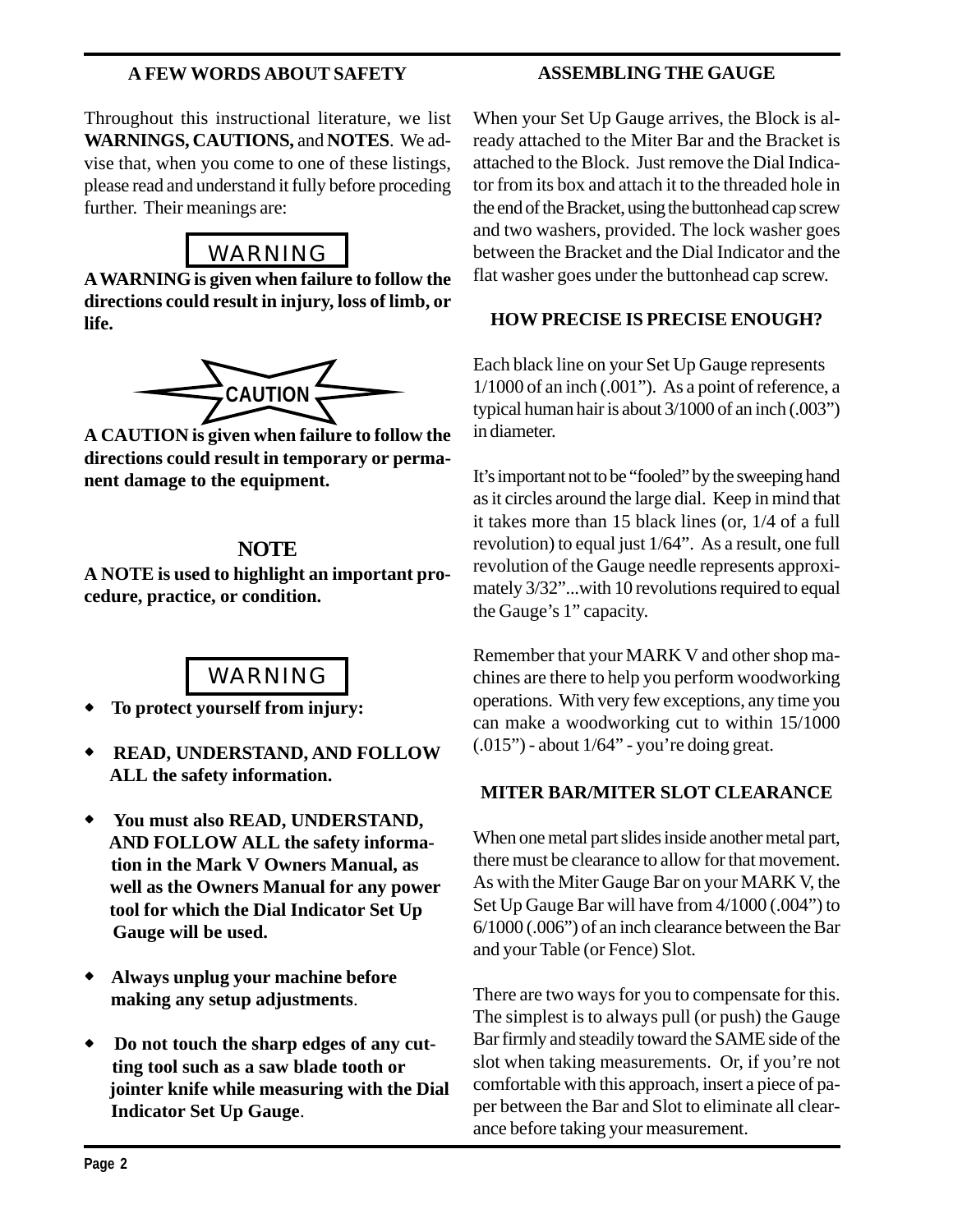#### **A FEW WORDS ABOUT SAFETY**

#### **ASSEMBLING THE GAUGE**

Throughout this instructional literature, we list **WARNINGS, CAUTIONS,** and **NOTES**. We advise that, when you come to one of these listings, please read and understand it fully before proceding further. Their meanings are:



**A WARNING is given when failure to follow the directions could result in injury, loss of limb, or life.**



**A CAUTION is given when failure to follow the directions could result in temporary or permanent damage to the equipment.**

#### **NOTE**

**A NOTE is used to highlight an important procedure, practice, or condition.**

# WARNING

- ! **To protect yourself from injury:**
- ! **READ, UNDERSTAND, AND FOLLOW ALL the safety information.**
- ! **You must also READ, UNDERSTAND, AND FOLLOW ALL the safety informa tion in the Mark V Owners Manual, as well as the Owners Manual for any power tool for which the Dial Indicator Set Up Gauge will be used.**
- ! **Always unplug your machine before making any setup adjustments**.
- ! **Do not touch the sharp edges of any cut ting tool such as a saw blade tooth or jointer knife while measuring with the Dial Indicator Set Up Gauge**.

When your Set Up Gauge arrives, the Block is already attached to the Miter Bar and the Bracket is attached to the Block. Just remove the Dial Indicator from its box and attach it to the threaded hole in the end of the Bracket, using the buttonhead cap screw and two washers, provided. The lock washer goes between the Bracket and the Dial Indicator and the flat washer goes under the buttonhead cap screw.

#### **HOW PRECISE IS PRECISE ENOUGH?**

Each black line on your Set Up Gauge represents 1/1000 of an inch (.001"). As a point of reference, a typical human hair is about 3/1000 of an inch (.003") in diameter.

It's important not to be "fooled" by the sweeping hand as it circles around the large dial. Keep in mind that it takes more than 15 black lines (or, 1/4 of a full revolution) to equal just 1/64". As a result, one full revolution of the Gauge needle represents approximately 3/32"...with 10 revolutions required to equal the Gauge's 1" capacity.

Remember that your MARK V and other shop machines are there to help you perform woodworking operations. With very few exceptions, any time you can make a woodworking cut to within 15/1000  $(0.015")$  - about  $1/64"$  - you're doing great.

#### **MITER BAR/MITER SLOT CLEARANCE**

When one metal part slides inside another metal part, there must be clearance to allow for that movement. As with the Miter Gauge Bar on your MARK V, the Set Up Gauge Bar will have from 4/1000 (.004") to 6/1000 (.006") of an inch clearance between the Bar and your Table (or Fence) Slot.

There are two ways for you to compensate for this. The simplest is to always pull (or push) the Gauge Bar firmly and steadily toward the SAME side of the slot when taking measurements. Or, if you're not comfortable with this approach, insert a piece of paper between the Bar and Slot to eliminate all clearance before taking your measurement.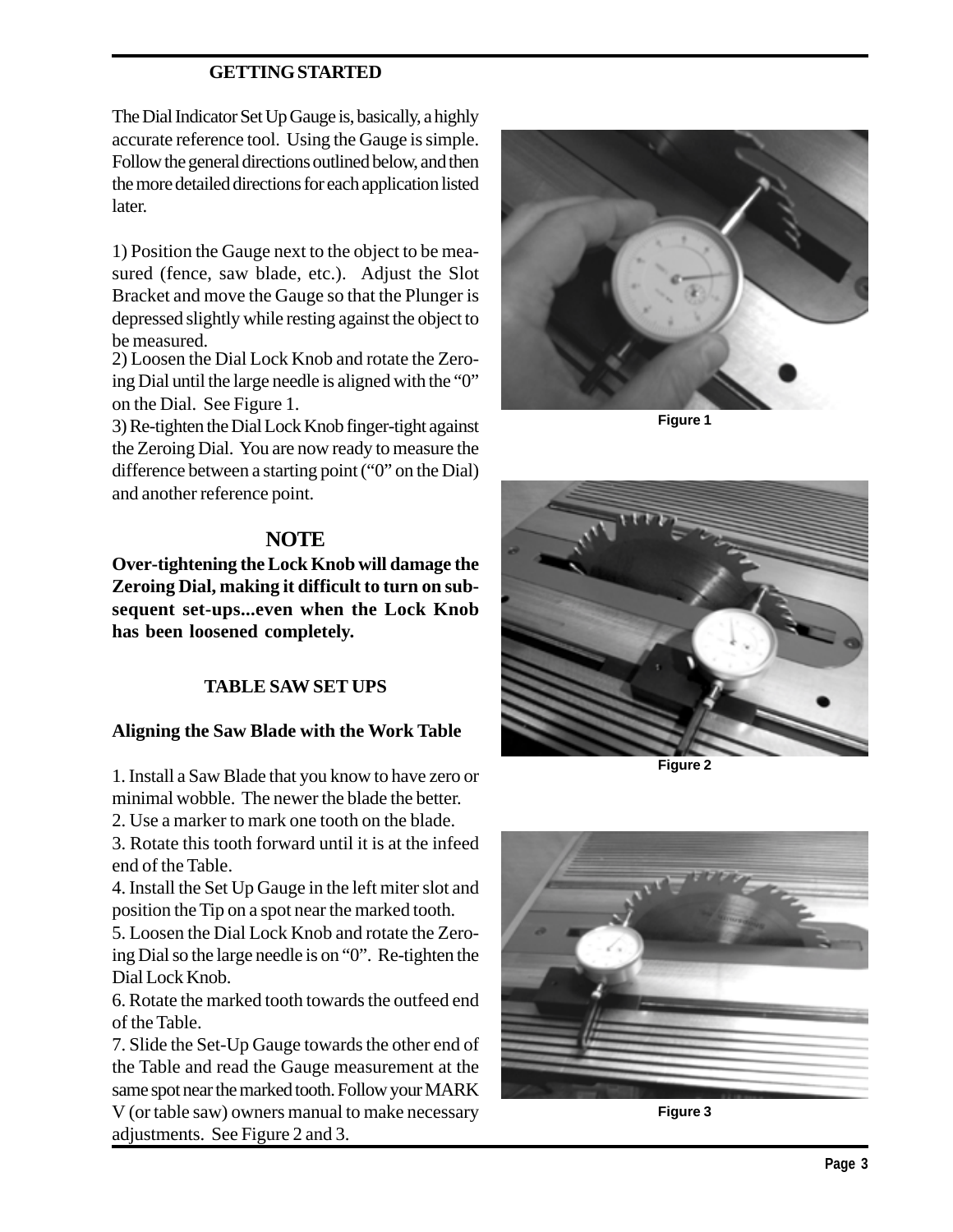#### **GETTING STARTED**

The Dial Indicator Set Up Gauge is, basically, a highly accurate reference tool. Using the Gauge is simple. Follow the general directions outlined below, and then the more detailed directions for each application listed later.

1) Position the Gauge next to the object to be measured (fence, saw blade, etc.). Adjust the Slot Bracket and move the Gauge so that the Plunger is depressed slightly while resting against the object to be measured.

2) Loosen the Dial Lock Knob and rotate the Zeroing Dial until the large needle is aligned with the "0" on the Dial. See Figure 1.

3) Re-tighten the Dial Lock Knob finger-tight against the Zeroing Dial. You are now ready to measure the difference between a starting point ("0" on the Dial) and another reference point.

#### **NOTE**

**Over-tightening the Lock Knob will damage the Zeroing Dial, making it difficult to turn on subsequent set-ups...even when the Lock Knob has been loosened completely.**

#### **TABLE SAW SET UPS**

#### **Aligning the Saw Blade with the Work Table**

1. Install a Saw Blade that you know to have zero or minimal wobble. The newer the blade the better.

2. Use a marker to mark one tooth on the blade.

3. Rotate this tooth forward until it is at the infeed end of the Table.

4. Install the Set Up Gauge in the left miter slot and position the Tip on a spot near the marked tooth.

5. Loosen the Dial Lock Knob and rotate the Zeroing Dial so the large needle is on "0". Re-tighten the Dial Lock Knob.

6. Rotate the marked tooth towards the outfeed end of the Table.

7. Slide the Set-Up Gauge towards the other end of the Table and read the Gauge measurement at the same spot near the marked tooth. Follow your MARK V (or table saw) owners manual to make necessary adjustments. See Figure 2 and 3.



**Figure 1**



**Figure 2**



**Figure 3**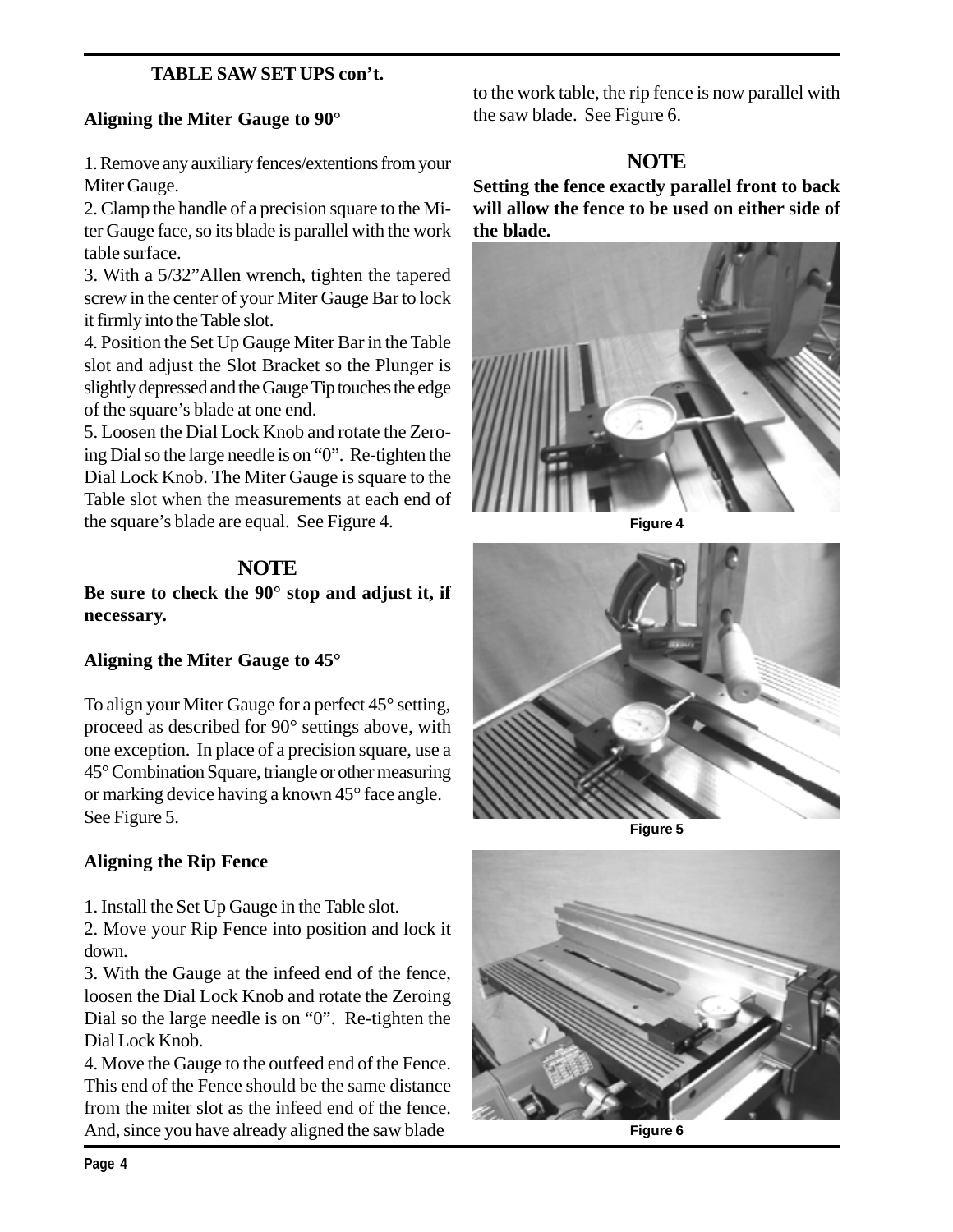#### **TABLE SAW SET UPS con't.**

#### **Aligning the Miter Gauge to 90°**

1. Remove any auxiliary fences/extentions from your Miter Gauge.

2. Clamp the handle of a precision square to the Miter Gauge face, so its blade is parallel with the work table surface.

3. With a 5/32"Allen wrench, tighten the tapered screw in the center of your Miter Gauge Bar to lock it firmly into the Table slot.

4. Position the Set Up Gauge Miter Bar in the Table slot and adjust the Slot Bracket so the Plunger is slightly depressed and the Gauge Tip touches the edge of the square's blade at one end.

5. Loosen the Dial Lock Knob and rotate the Zeroing Dial so the large needle is on "0". Re-tighten the Dial Lock Knob. The Miter Gauge is square to the Table slot when the measurements at each end of the square's blade are equal. See Figure 4.

## **NOTE**

**Be sure to check the 90° stop and adjust it, if necessary.**

#### **Aligning the Miter Gauge to 45°**

To align your Miter Gauge for a perfect 45° setting, proceed as described for 90° settings above, with one exception. In place of a precision square, use a 45° Combination Square, triangle or other measuring or marking device having a known 45° face angle. See Figure 5.

#### **Aligning the Rip Fence**

1. Install the Set Up Gauge in the Table slot.

2. Move your Rip Fence into position and lock it down.

3. With the Gauge at the infeed end of the fence, loosen the Dial Lock Knob and rotate the Zeroing Dial so the large needle is on "0". Re-tighten the Dial Lock Knob.

4. Move the Gauge to the outfeed end of the Fence. This end of the Fence should be the same distance from the miter slot as the infeed end of the fence. And, since you have already aligned the saw blade **Figure 6** 

to the work table, the rip fence is now parallel with the saw blade. See Figure 6.

## **NOTE**

**Setting the fence exactly parallel front to back will allow the fence to be used on either side of the blade.**



**Figure 4**



**Figure 5**

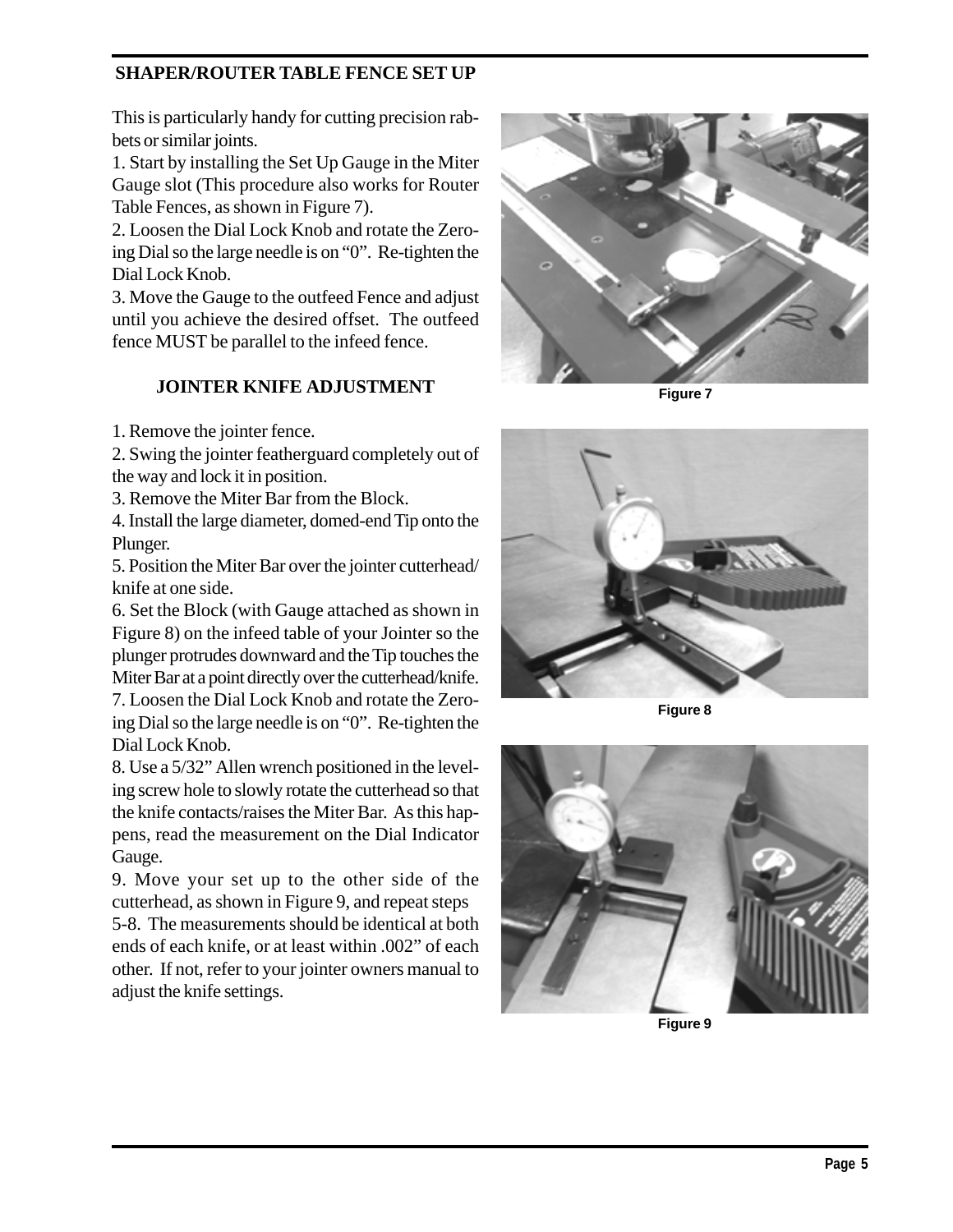#### **SHAPER/ROUTER TABLE FENCE SET UP**

This is particularly handy for cutting precision rabbets or similar joints.

1. Start by installing the Set Up Gauge in the Miter Gauge slot (This procedure also works for Router Table Fences, as shown in Figure 7).

2. Loosen the Dial Lock Knob and rotate the Zeroing Dial so the large needle is on "0". Re-tighten the Dial Lock Knob.

3. Move the Gauge to the outfeed Fence and adjust until you achieve the desired offset. The outfeed fence MUST be parallel to the infeed fence.

#### **JOINTER KNIFE ADJUSTMENT**

1. Remove the jointer fence.

2. Swing the jointer featherguard completely out of the way and lock it in position.

3. Remove the Miter Bar from the Block.

4. Install the large diameter, domed-end Tip onto the Plunger.

5. Position the Miter Bar over the jointer cutterhead/ knife at one side.

6. Set the Block (with Gauge attached as shown in Figure 8) on the infeed table of your Jointer so the plunger protrudes downward and the Tip touches the Miter Bar at a point directly over the cutterhead/knife.

7. Loosen the Dial Lock Knob and rotate the Zeroing Dial so the large needle is on "0". Re-tighten the Dial Lock Knob.

8. Use a 5/32" Allen wrench positioned in the leveling screw hole to slowly rotate the cutterhead so that the knife contacts/raises the Miter Bar. As this happens, read the measurement on the Dial Indicator Gauge.

9. Move your set up to the other side of the cutterhead, as shown in Figure 9, and repeat steps 5-8. The measurements should be identical at both ends of each knife, or at least within .002" of each other. If not, refer to your jointer owners manual to adjust the knife settings.



**Figure 7**



**Figure 8**



**Figure 9**